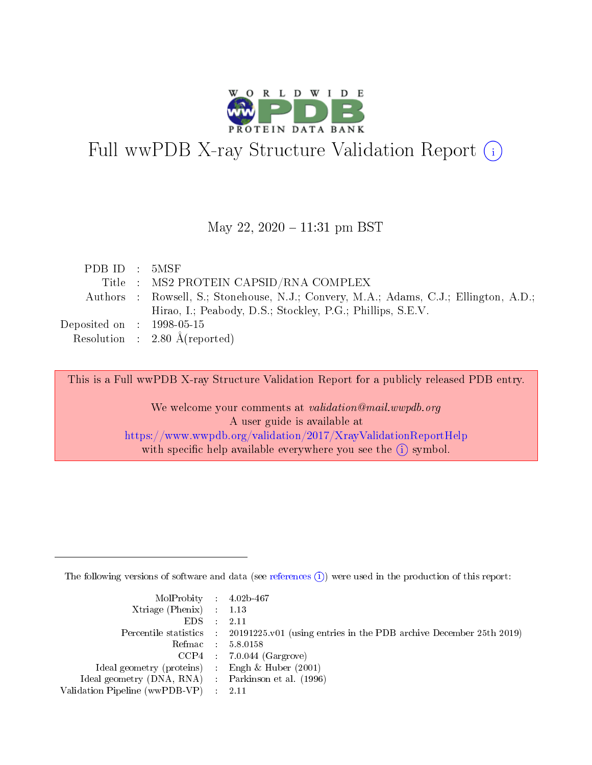

# Full wwPDB X-ray Structure Validation Report (i)

#### May 22, 2020 - 11:31 pm BST

| PDB ID : 5MSF                  |                                                                                       |
|--------------------------------|---------------------------------------------------------------------------------------|
|                                | Title : MS2 PROTEIN CAPSID/RNA COMPLEX                                                |
|                                | Authors : Rowsell, S.; Stonehouse, N.J.; Convery, M.A.; Adams, C.J.; Ellington, A.D.; |
|                                | Hirao, I.; Peabody, D.S.; Stockley, P.G.; Phillips, S.E.V.                            |
| Deposited on $\,$ : 1998-05-15 |                                                                                       |
|                                | Resolution : $2.80 \text{ Å}$ (reported)                                              |

This is a Full wwPDB X-ray Structure Validation Report for a publicly released PDB entry.

We welcome your comments at validation@mail.wwpdb.org A user guide is available at <https://www.wwpdb.org/validation/2017/XrayValidationReportHelp> with specific help available everywhere you see the  $(i)$  symbol.

The following versions of software and data (see [references](https://www.wwpdb.org/validation/2017/XrayValidationReportHelp#references)  $(i)$ ) were used in the production of this report:

| $MolProbability$ 4.02b-467                          |                                                                                            |
|-----------------------------------------------------|--------------------------------------------------------------------------------------------|
| Xtriage (Phenix) $: 1.13$                           |                                                                                            |
| $EDS$ :                                             | -2.11                                                                                      |
|                                                     | Percentile statistics : 20191225.v01 (using entries in the PDB archive December 25th 2019) |
|                                                     | Refmac : 5.8.0158                                                                          |
|                                                     | $CCP4$ : 7.0.044 (Gargrove)                                                                |
| Ideal geometry (proteins) : Engh $\&$ Huber (2001)  |                                                                                            |
| Ideal geometry (DNA, RNA) : Parkinson et al. (1996) |                                                                                            |
| Validation Pipeline (wwPDB-VP)                      | -2.11                                                                                      |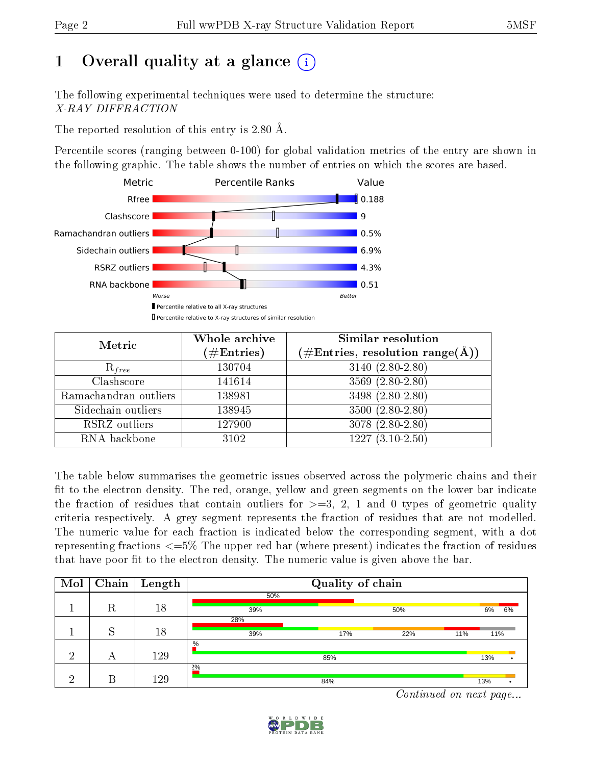# 1 [O](https://www.wwpdb.org/validation/2017/XrayValidationReportHelp#overall_quality)verall quality at a glance  $(i)$

The following experimental techniques were used to determine the structure: X-RAY DIFFRACTION

The reported resolution of this entry is 2.80 Å.

Percentile scores (ranging between 0-100) for global validation metrics of the entry are shown in the following graphic. The table shows the number of entries on which the scores are based.



| Metric                | Whole archive        | <b>Similar resolution</b>                          |
|-----------------------|----------------------|----------------------------------------------------|
|                       | $(\#\text{Entries})$ | $(\text{\#Entries, resolution range}(\text{\AA}))$ |
| $R_{free}$            | 130704               | $3140 (2.80 - 2.80)$                               |
| Clashscore            | 141614               | 3569 (2.80-2.80)                                   |
| Ramachandran outliers | 138981               | 3498 (2.80-2.80)                                   |
| Sidechain outliers    | 138945               | $3500(2.80-2.80)$                                  |
| RSRZ outliers         | 127900               | 3078 (2.80-2.80)                                   |
| RNA backbone          | 3102                 | $1227(3.10-2.50)$                                  |

The table below summarises the geometric issues observed across the polymeric chains and their fit to the electron density. The red, orange, yellow and green segments on the lower bar indicate the fraction of residues that contain outliers for  $>=3, 2, 1$  and 0 types of geometric quality criteria respectively. A grey segment represents the fraction of residues that are not modelled. The numeric value for each fraction is indicated below the corresponding segment, with a dot representing fractions  $\epsilon = 5\%$  The upper red bar (where present) indicates the fraction of residues that have poor fit to the electron density. The numeric value is given above the bar.

| Mol | Chain | Length |      | Quality of chain |                                         |     |     |    |  |  |
|-----|-------|--------|------|------------------|-----------------------------------------|-----|-----|----|--|--|
|     |       |        | 50%  |                  |                                         |     |     |    |  |  |
|     | R     | 18     | 39%  |                  | 50%                                     |     | 6%  | 6% |  |  |
|     |       |        | 28%  |                  |                                         |     |     |    |  |  |
|     | Q     | 18     | 39%  | 17%              | 22%                                     | 11% | 11% |    |  |  |
|     |       |        | $\%$ |                  |                                         |     |     |    |  |  |
| ച   | А     | 129    |      | 85%              |                                         |     | 13% |    |  |  |
|     |       |        | 2%   |                  |                                         |     |     |    |  |  |
| ച   | В     | 129    |      | 84%              | and the contract of the contract of the |     | 13% |    |  |  |

Continued on next page...

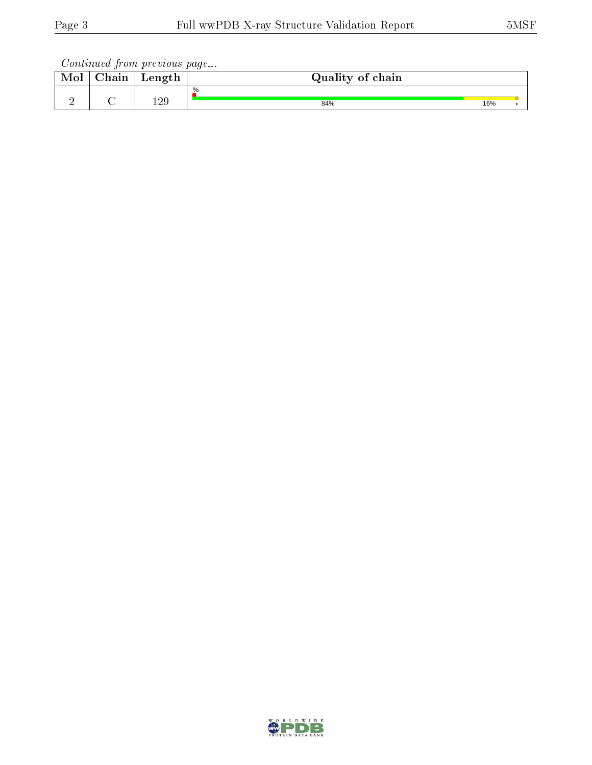Continued from previous page...

| Mol | ${\rm Chain}$ | Length     | Quality of chain |     |  |
|-----|---------------|------------|------------------|-----|--|
|     |               |            | $\%$             |     |  |
| -   |               | 190<br>⊥∠ບ | 84%              | 16% |  |

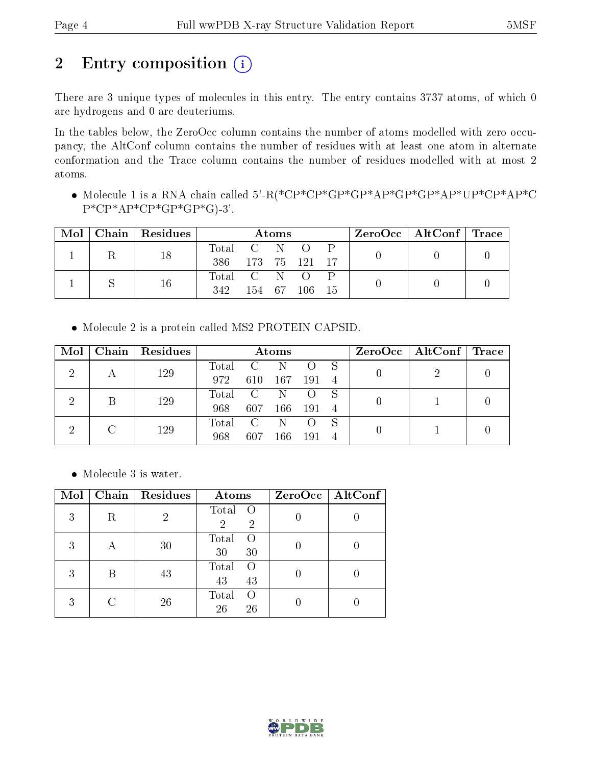## 2 Entry composition (i)

There are 3 unique types of molecules in this entry. The entry contains 3737 atoms, of which 0 are hydrogens and 0 are deuteriums.

In the tables below, the ZeroOcc column contains the number of atoms modelled with zero occupancy, the AltConf column contains the number of residues with at least one atom in alternate conformation and the Trace column contains the number of residues modelled with at most 2 atoms.

 Molecule 1 is a RNA chain called 5'-R(\*CP\*CP\*GP\*GP\*AP\*GP\*GP\*AP\*UP\*CP\*AP\*C  $P^*CP^*AP^*CP^*GP^*GP^*GP^*G$ .3'.

| Mol | Chain | $\mid$ Residues | Atoms       |            |  |       |     |  | $\text{ZeroOcc}$   AltConf   Trace |  |
|-----|-------|-----------------|-------------|------------|--|-------|-----|--|------------------------------------|--|
|     |       | 18              | Total C N O |            |  |       |     |  |                                    |  |
|     |       |                 | 386         | 173 75 121 |  |       |     |  |                                    |  |
|     |       | 16              | Total C N O |            |  |       |     |  |                                    |  |
|     |       |                 | 342         | 154 67     |  | -106- | -15 |  |                                    |  |

Molecule 2 is a protein called MS2 PROTEIN CAPSID.

| Mol | Chain   Residues | Atoms   |                            |     |      |    | $ZeroOcc \mid AltConf \mid Trace$ |  |
|-----|------------------|---------|----------------------------|-----|------|----|-----------------------------------|--|
| ച   | 129              | Total   |                            |     |      |    |                                   |  |
|     |                  | 972     | 610                        | 167 | 191  |    |                                   |  |
| 2   | 129              | Total C |                            | N   |      |    |                                   |  |
|     |                  | 968     | 607                        | 166 | -191 | -4 |                                   |  |
|     | 129              | Total   | $\overline{\phantom{a}}$ C |     |      |    |                                   |  |
|     |                  | 968     | 607                        | -66 | 191  |    |                                   |  |

Molecule 3 is water.

| Mol | Chain | Residues | Atoms                                                  | ZeroOcc   AltConf |
|-----|-------|----------|--------------------------------------------------------|-------------------|
| 3   | R     | 2        | Total<br>$\circ$ O<br>$\overline{2}$<br>$\overline{2}$ |                   |
| 3   | А     | 30       | Total<br>$\left( \right)$<br>30<br>30                  |                   |
| 3   |       | 43       | Total<br>$\left( \right)$<br>43<br>43                  |                   |
| 3   |       | 26       | Total<br>$\left( \right)$<br>26<br>26                  |                   |

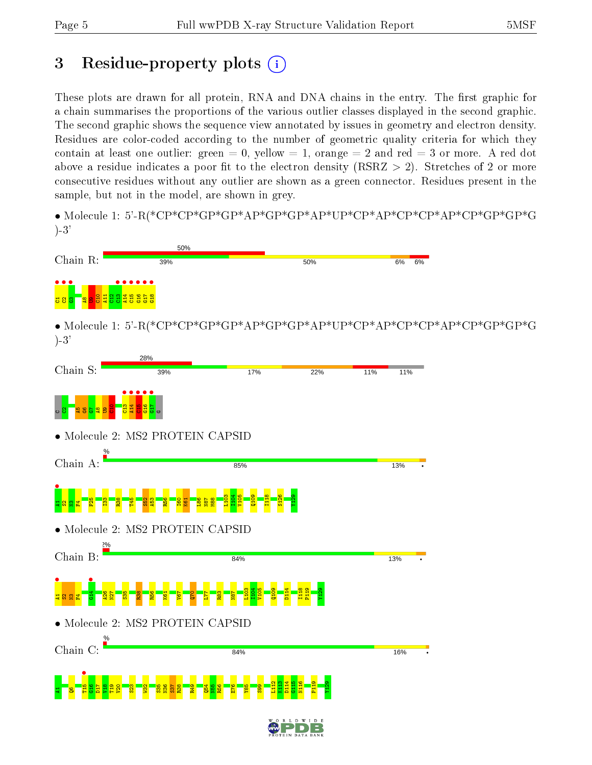## 3 Residue-property plots  $(i)$

These plots are drawn for all protein, RNA and DNA chains in the entry. The first graphic for a chain summarises the proportions of the various outlier classes displayed in the second graphic. The second graphic shows the sequence view annotated by issues in geometry and electron density. Residues are color-coded according to the number of geometric quality criteria for which they contain at least one outlier: green  $= 0$ , yellow  $= 1$ , orange  $= 2$  and red  $= 3$  or more. A red dot above a residue indicates a poor fit to the electron density (RSRZ  $> 2$ ). Stretches of 2 or more consecutive residues without any outlier are shown as a green connector. Residues present in the sample, but not in the model, are shown in grey.

• Molecule 1: 5'-R(\*CP\*CP\*GP\*GP\*AP\*GP\*GP\*AP\*UP\*CP\*AP\*CP\*CP\*AP\*CP\*GP\*GP\*G )-3'



• Molecule 1: 5'-R(\*CP\*CP\*GP\*GP\*AP\*GP\*GP\*AP\*UP\*CP\*AP\*CP\*CP\*AP\*CP\*GP\*GP\*G )-3'

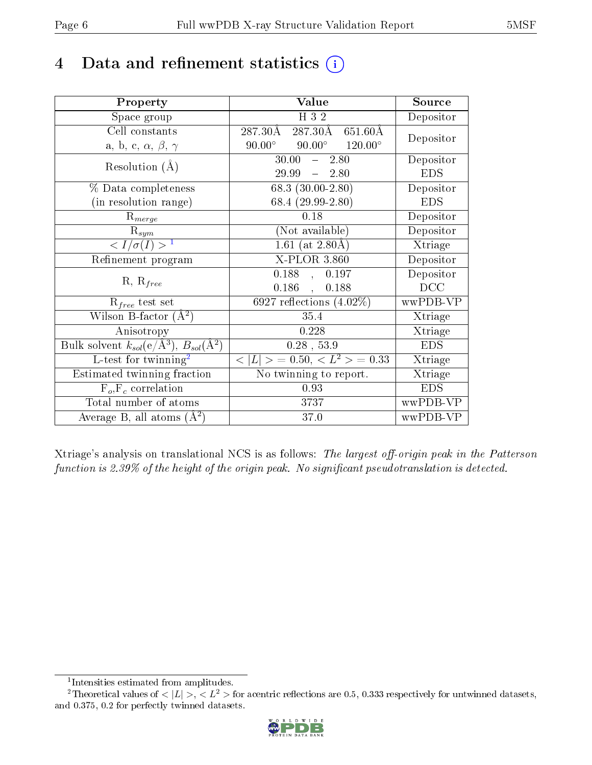## 4 Data and refinement statistics  $(i)$

| Property                                                                | Value                                             | Source     |
|-------------------------------------------------------------------------|---------------------------------------------------|------------|
| Space group                                                             | H 3 2                                             | Depositor  |
| Cell constants                                                          | 287.30Å<br>287.30Å<br>651.60Å                     |            |
| a, b, c, $\alpha$ , $\beta$ , $\gamma$                                  | $90.00^{\circ}$ $120.00^{\circ}$<br>$90.00^\circ$ | Depositor  |
| Resolution $(A)$                                                        | $30.00 - 2.80$                                    | Depositor  |
|                                                                         | 29.99<br>$-2.80$                                  | <b>EDS</b> |
| % Data completeness                                                     | 68.3 $(30.00-2.80)$                               | Depositor  |
| (in resolution range)                                                   | 68.4 (29.99-2.80)                                 | <b>EDS</b> |
| $R_{merge}$                                                             | 0.18                                              | Depositor  |
| $\mathrm{R}_{sym}$                                                      | (Not available)                                   | Depositor  |
| $\langle I/\sigma(I) \rangle^{-1}$                                      | 1.61 (at $2.80\text{\AA}$ )                       | Xtriage    |
| Refinement program                                                      | X-PLOR 3.860                                      | Depositor  |
|                                                                         | 0.188,<br>0.197                                   | Depositor  |
| $R, R_{free}$                                                           | 0.186,<br>0.188                                   | DCC        |
| $\mathcal{R}_{free}$ test set                                           | 6927 reflections $(4.02\%)$                       | wwPDB-VP   |
| Wilson B-factor $(A^2)$                                                 | 35.4                                              | Xtriage    |
| Anisotropy                                                              | 0.228                                             | Xtriage    |
| Bulk solvent $k_{sol}(\mathrm{e}/\mathrm{A}^3),\,B_{sol}(\mathrm{A}^2)$ | $0.28$ , 53.9                                     | <b>EDS</b> |
| L-test for twinning <sup>2</sup>                                        | $< L >$ = 0.50, $< L^2 >$ = 0.33                  | Xtriage    |
| Estimated twinning fraction                                             | No twinning to report.                            | Xtriage    |
| $F_o, F_c$ correlation                                                  | 0.93                                              | <b>EDS</b> |
| Total number of atoms                                                   | 3737                                              | wwPDB-VP   |
| Average B, all atoms $(A^2)$                                            | 37.0                                              | wwPDB-VP   |

Xtriage's analysis on translational NCS is as follows: The largest off-origin peak in the Patterson function is 2.39% of the height of the origin peak. No significant pseudotranslation is detected.

<sup>&</sup>lt;sup>2</sup>Theoretical values of  $\langle |L| \rangle$ ,  $\langle L^2 \rangle$  for acentric reflections are 0.5, 0.333 respectively for untwinned datasets, and 0.375, 0.2 for perfectly twinned datasets.



<span id="page-5-1"></span><span id="page-5-0"></span><sup>1</sup> Intensities estimated from amplitudes.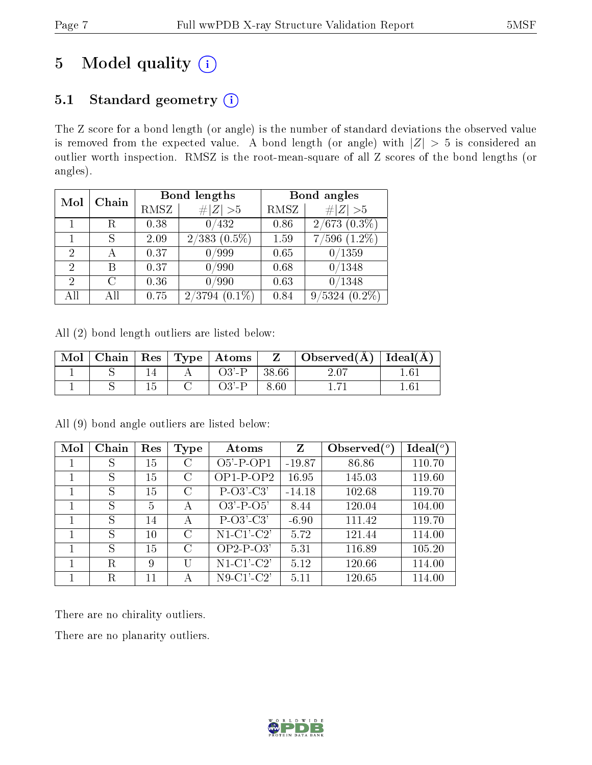# 5 Model quality  $(i)$

### 5.1 Standard geometry  $(i)$

The Z score for a bond length (or angle) is the number of standard deviations the observed value is removed from the expected value. A bond length (or angle) with  $|Z| > 5$  is considered an outlier worth inspection. RMSZ is the root-mean-square of all Z scores of the bond lengths (or angles).

| Mol | Chain |      | Bond lengths       | Bond angles |                         |  |
|-----|-------|------|--------------------|-------------|-------------------------|--|
|     |       | RMSZ | # $ Z >5$          | RMSZ        | # $ Z >5$               |  |
|     | R     | 0.38 | 0/432              | 0.86        | $2/673$ $(0.3\%)$       |  |
|     | S     | 2.09 | $2/383$ $(0.5\%)$  | 1.59        | $7/596$ $(1.2\%)$       |  |
| 2   |       | 0.37 | 0/999              | 0.65        | /1359                   |  |
| 2   | В     | 0.37 | 0/990              | 0.68        | /1348                   |  |
| 2   | C     | 0.36 | 0/990              | 0.63        | $^{\prime}1348$         |  |
| All |       | 0.75 | $2/3794$ $(0.1\%)$ | 0.84        | /5324<br>$(0.2\%)$<br>9 |  |

All (2) bond length outliers are listed below:

| Mol |  | Chain   Res   Type   Atoms | $\mathbf{Z}$ | $\mid$ Observed( $\AA$ ) $\mid$ Ideal( $\overline{A}$ ) |  |
|-----|--|----------------------------|--------------|---------------------------------------------------------|--|
|     |  | $O3'$ -P                   | 38.66        |                                                         |  |
|     |  |                            | 8.60         |                                                         |  |

| Mol | Chain | Res    | Type          | Atoms           | Z        | Observed | $\text{Ideal}({}^o)$ |
|-----|-------|--------|---------------|-----------------|----------|----------|----------------------|
|     | S     | 15     | C             | $O5'$ -P-OP1    | $-19.87$ | 86.86    | 110.70               |
|     | S     | 15     | С             | $OP1-P-OP2$     | 16.95    | 145.03   | 119.60               |
|     | S     | 15     | $\mathcal{C}$ | $P-O3'-C3'$     | $-14.18$ | 102.68   | 119.70               |
|     | S     | 5      | А             | $O3' - P - O5'$ | 8.44     | 120.04   | 104.00               |
|     | S     | 14     | А             | $P-O3'-C3'$     | $-6.90$  | 111.42   | 119.70               |
|     | S     | $10\,$ | C             | $N1-C1-C2'$     | 5.72     | 121.44   | 114.00               |
|     | S     | 15     | $\mathcal{C}$ | $OP2-P-O3'$     | 5.31     | 116.89   | 105.20               |
|     | R     | 9      |               | $N1-C1-C2'$     | 5.12     | 120.66   | 114.00               |
|     | R     | 11     |               | $N9-C1-C2'$     | 5.11     | 120.65   | 114.00               |

All (9) bond angle outliers are listed below:

There are no chirality outliers.

There are no planarity outliers.

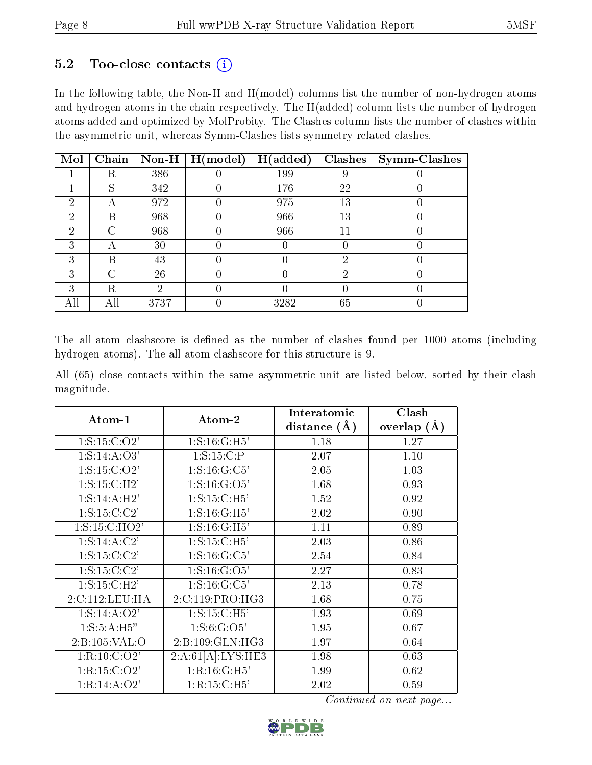### 5.2 Too-close contacts  $(i)$

In the following table, the Non-H and H(model) columns list the number of non-hydrogen atoms and hydrogen atoms in the chain respectively. The H(added) column lists the number of hydrogen atoms added and optimized by MolProbity. The Clashes column lists the number of clashes within the asymmetric unit, whereas Symm-Clashes lists symmetry related clashes.

| Mol | Chain              | Non-H | H (model) | H(added) | <b>Clashes</b> | <b>Symm-Clashes</b> |
|-----|--------------------|-------|-----------|----------|----------------|---------------------|
|     | R                  | 386   |           | 199      | 9              |                     |
|     | S                  | 342   |           | 176      | 22             |                     |
| 2   | А                  | 972   |           | 975      | 13             |                     |
| 2   | В                  | 968   |           | 966      | 13             |                     |
| 2   | $\curvearrowright$ | 968   |           | 966      | 11             |                     |
| 3   | А                  | 30    |           | U        |                |                     |
| 3   | В                  | 43    |           |          | റ              |                     |
| 3   | ∩                  | 26    |           |          | 2              |                     |
| 3   | R                  | 2     |           |          |                |                     |
| All | Αll                | 3737  |           | 3282     | 65             |                     |

The all-atom clashscore is defined as the number of clashes found per 1000 atoms (including hydrogen atoms). The all-atom clashscore for this structure is 9.

All (65) close contacts within the same asymmetric unit are listed below, sorted by their clash magnitude.

| Atom-1            | Atom-2                       | Interatomic      | Clash           |
|-------------------|------------------------------|------------------|-----------------|
|                   |                              | distance $(\AA)$ | overlap $(\AA)$ |
| 1: S: 15: C: O2'  | 1: S: 16: G: H5'             | 1.18             | 1.27            |
| 1: S: 14: A: O3'  | 1: S: 15: C:P                | 2.07             | 1.10            |
| 1: S: 15: C: O2'  | 1: S: 16: G: C5'             | 2.05             | 1.03            |
| 1: S: 15: C: H2'  | $1: S: 16: \overline{G:O5'}$ | 1.68             | 0.93            |
| 1: S: 14: A:H2'   | 1: S: 15: C: H5'             | 1.52             | 0.92            |
| 1: S: 15: C: C2'  | 1: S: 16: G:H5'              | 2.02             | 0.90            |
| 1: S: 15: C: HO2' | 1: S: 16: G:H5'              | 1.11             | 0.89            |
| 1: S: 14: A: C2'  | 1: S: 15: C: H5'             | 2.03             | 0.86            |
| 1: S: 15: C: C2'  | 1: S: 16: G: C5'             | 2.54             | 0.84            |
| 1: S: 15: C: C2'  | 1:S:16:G:O5'                 | 2.27             | 0.83            |
| 1: S: 15: C: H2'  | 1: S: 16: G: C5'             | 2.13             | 0.78            |
| 2:C:112:LEU:HA    | 2:C:119:PRO:HG3              | 1.68             | 0.75            |
| 1: S: 14: A: O2'  | 1: S: 15: C: H5'             | 1.93             | 0.69            |
| 1: S: 5: A: H5"   | 1: S: 6: G: O5'              | 1.95             | 0.67            |
| 2:B:105:VAL:O     | 2: B: 109: GLN: HG3          | 1.97             | 0.64            |
| 1:R:10:C:O2'      | 2:A:61[A]:LYS:HE3            | 1.98             | 0.63            |
| 1:R:15:C:O2'      | 1:R:16:G:H5'                 | 1.99             | 0.62            |
| 1:R:14:A:O2'      | 1:R:15:C:H5'                 | 2.02             | 0.59            |

Continued on next page...

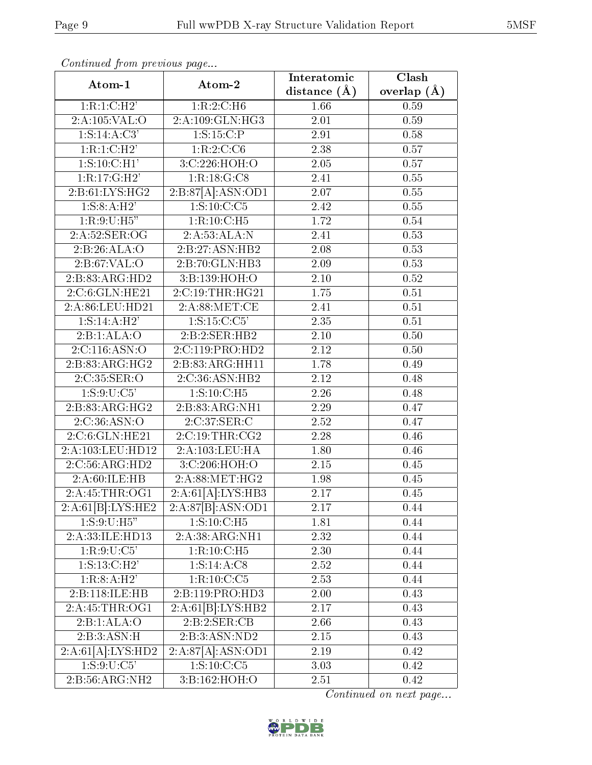| continuou promo province pugo |                   | Interatomic    | Clash           |
|-------------------------------|-------------------|----------------|-----------------|
| Atom-1                        | Atom-2            | distance $(A)$ | overlap $(\AA)$ |
| 1:R:1:C:H2'                   | 1:R:2:C:H6        | 1.66           | 0.59            |
| 2:A:105:VAL:O                 | 2:A:109:GLN:HG3   | 2.01           | 0.59            |
| $1: S: 14: A: \overline{C3'}$ | 1: S: 15: C:P     | 2.91           | 0.58            |
| 1:R:1:C:H2'                   | 1:R:2:C:C6        | 2.38           | 0.57            |
| 1: S: 10: C: H1'              | 3:C:226:HOH:O     | 2.05           | 0.57            |
| 1:R:17:G:H2'                  | 1:R:18:G:CS       | 2.41           | 0.55            |
| 2:B:61:LYS:HG2                | 2:B:87[A]:ASN:OD1 | 2.07           | 0.55            |
| 1: S: 8: A: H2'               | 1:S:10:C:C5       | 2.42           | 0.55            |
| 1:R:9:U:H5"                   | 1:R:10:C:H5       | 1.72           | 0.54            |
| 2:A:52:SER:OG                 | 2:A:53:ALA:N      | 2.41           | 0.53            |
| 2:B:26:ALA:O                  | 2:B:27:ASN:HB2    | 2.08           | 0.53            |
| 2: B:67: VAL:O                | 2:B:70:GLN:HB3    | 2.09           | 0.53            |
| 2:B:83:ARG:HD2                | 3:B:139:HOH:O     | $2.10\,$       | 0.52            |
| 2:C:6:GLN:HE21                | 2:C:19:THR:HG21   | 1.75           | 0.51            |
| 2:A:86:LEU:HD21               | 2:A:88:MET:CE     | 2.41           | 0.51            |
| 1: S: 14: A:H2'               | 1: S: 15: C: C5'  | 2.35           | 0.51            |
| 2:B:1:ALA:O                   | 2:5:2:SER:HB2     | 2.10           | 0.50            |
| 2:C:116:ASN:O                 | 2:C:119:PRO:HD2   | 2.12           | 0.50            |
| 2:B:83:ARG:HG2                | 2:B:83:ARG:HH11   | 1.78           | 0.49            |
| 2:C:35:SER:O                  | 2:C:36:ASN:HB2    | 2.12           | 0.48            |
| 1:S:9:U:C5'                   | 1: S: 10: C: H5   | 2.26           | 0.48            |
| 2:B:83:ARG:HG2                | 2:B:83:ARG:NH1    | 2.29           | 0.47            |
| 2:C:36:ASN:O                  | 2:C:37:SER:C      | 2.52           | 0.47            |
| 2:C:6:GLN:HE21                | 2:C:19:THR:CG2    | 2.28           | 0.46            |
| 2:A:103:LEU:HD12              | 2:A:103:LEU:HA    | 1.80           | 0.46            |
| 2:C:56:ARG:HD2                | 3:C:206:HOH:O     | 2.15           | 0.45            |
| 2:A:60:ILE:HB                 | 2: A:88:MET:HG2   | 1.98           | 0.45            |
| 2:A:45:THR:OG1                | 2:A:61[A]:LYS:HB3 | 2.17           | 0.45            |
| 2:A:61[B]:LYS:HE2             | 2:A:87[B]:ASN:OD1 | 2.17           | 0.44            |
| 1:S:9:U:H5"                   | 1:S:10:C:H5       | 1.81           | 0.44            |
| 2:A:33:ILE:HD13               | 2:A:38:ARG:NH1    | 2.32           | 0.44            |
| 1:R:9:U:C5'                   | $1:R:10:C:H5$     | 2.30           | 0.44            |
| 1: S: 13: C: H2'              | 1: S: 14: A: C8   | 2.52           | 0.44            |
| 1:R:8:A:H2'                   | 1:R:10:C:C5       | 2.53           | 0.44            |
| 2:B:118:ILE:HB                | 2:B:119:PRO:HD3   | 2.00           | 0.43            |
| 2:A:45:THR:OG1                | 2:A:61[B]:LYS:HB2 | 2.17           | 0.43            |
| 2:B:1:ALA:O                   | 2:B:2:SER:CB      | 2.66           | 0.43            |
| 2:B:3:ASN:H                   | $2:BA$ SN:ND2     | $2.15\,$       | 0.43            |
| 2:A:61[A]:LYS:HD2             | 2:A:87[A]:ASN:OD1 | 2.19           | 0.42            |
| 1:S:9:U:C5'                   | 1:S:10:C:C5       | 3.03           | 0.42            |
| 2:B:56:ARG:NH2                | 3:B:162:HOH:O     | 2.51           | 0.42            |

Continued from previous page.

Continued on next page...

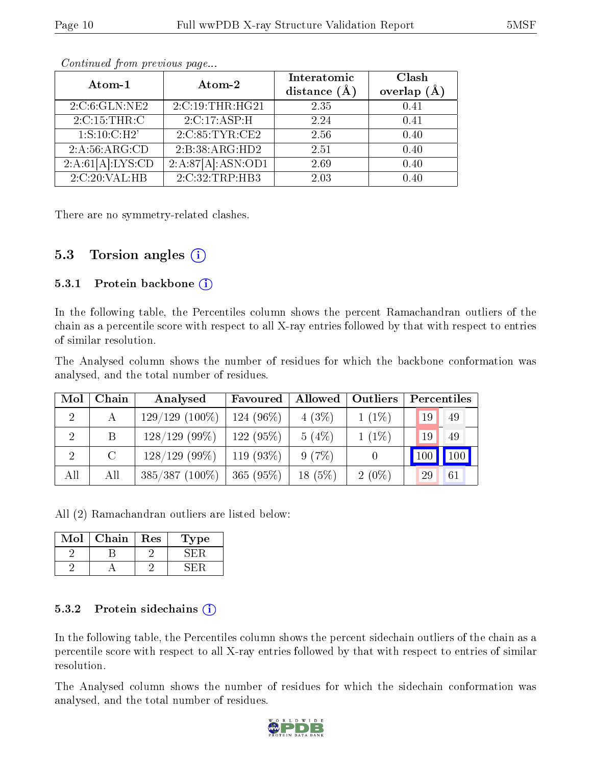| Atom-1              | Atom-2            | Interatomic    | Clash         |
|---------------------|-------------------|----------------|---------------|
|                     |                   | distance $(A)$ | overlap<br>(Å |
| 2:C:6:GLN:NE2       | 2:C:19:THR:HG21   | 2.35           | 0.41          |
| $2:C:15$ : THR: $C$ | 2:C:17:ASP:H      | 2.24           | 0.41          |
| 1: S: 10: C: H2'    | 2:C:85:TYR:CE2    | 2.56           | 0.40          |
| 2:A:56:ARG:CD       | 2:B:38:ARG:HD2    | 2.51           | 0.40          |
| 2:A:61[A]:LYS:CD    | 2:A:87[A]:ASN:OD1 | 2.69           | 0.40          |
| 2:C:20:VAL:HB       | 2:C:32:TRP:HB3    | 2.03           | በ 4በ          |

Continued from previous page...

There are no symmetry-related clashes.

### 5.3 Torsion angles  $(i)$

#### 5.3.1 Protein backbone  $(i)$

In the following table, the Percentiles column shows the percent Ramachandran outliers of the chain as a percentile score with respect to all X-ray entries followed by that with respect to entries of similar resolution.

The Analysed column shows the number of residues for which the backbone conformation was analysed, and the total number of residues.

| Mol            | Chain   | Analysed         | Favoured  | Allowed   | Outliers | Percentiles |               |
|----------------|---------|------------------|-----------|-----------|----------|-------------|---------------|
| $\overline{2}$ | A       | $129/129(100\%)$ | 124 (96%) | 4(3%)     | $1(1\%)$ | 19          | -49           |
| $\overline{2}$ | B       | $128/129$ (99\%) | 122(95%)  | 5(4%)     | $1(1\%)$ | 19          | -49           |
| $\overline{2}$ | $\rm C$ | $128/129$ (99\%) | 119 (93%) | 9(7%)     |          |             | $100$   $100$ |
| All            | All     | $385/387(100\%)$ | 365(95%)  | $18(5\%)$ | $2(0\%)$ | 29          | 61            |

All (2) Ramachandran outliers are listed below:

| Mol | Chain | Res | ype |
|-----|-------|-----|-----|
|     |       |     |     |
|     |       |     |     |

#### 5.3.2 Protein sidechains  $\hat{1}$

In the following table, the Percentiles column shows the percent sidechain outliers of the chain as a percentile score with respect to all X-ray entries followed by that with respect to entries of similar resolution.

The Analysed column shows the number of residues for which the sidechain conformation was analysed, and the total number of residues.

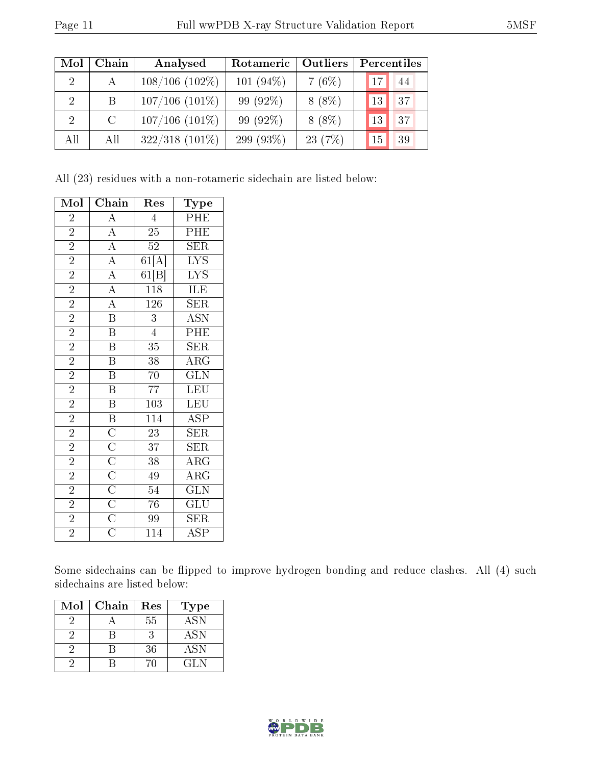| Mol            | Chain         | Analysed            | Rotameric    | <b>Outliers</b> | Percentiles     |    |
|----------------|---------------|---------------------|--------------|-----------------|-----------------|----|
| $2^{\circ}$    | $\mathbf{A}$  | $108/106(102\%)$    | 101 $(94\%)$ | 7(6%)           | 17 <sup>1</sup> | 44 |
| $\overline{2}$ | B.            | $107/106$ $(101\%)$ | $99(92\%)$   | $8(8\%)$        | 13              | 37 |
| $\mathcal{D}$  | $\mathcal{C}$ | $107/106$ $(101\%)$ | 99 (92%)     | $8(8\%)$        | 13              | 37 |
| All            | All           | $322/318$ $(101\%)$ | 299 (93\%)   | 23(7%)          | 15              | 39 |

All (23) residues with a non-rotameric sidechain are listed below:

| Mol            | Chain                                                                                                       | $\operatorname{Res}% \left( \mathcal{N}\right) \equiv\operatorname{Res}(\mathcal{N}_{0})\left( \mathcal{N}_{0}\right) ^{2}$ | $_{\rm Type}$           |
|----------------|-------------------------------------------------------------------------------------------------------------|-----------------------------------------------------------------------------------------------------------------------------|-------------------------|
| $\overline{2}$ | $\overline{\rm A}$                                                                                          | $\overline{4}$                                                                                                              | PHE                     |
| $\overline{2}$ |                                                                                                             | $\overline{25}$                                                                                                             | $\overline{\rm PHE}$    |
| $\overline{2}$ |                                                                                                             | $52\,$                                                                                                                      | <b>SER</b>              |
| $\overline{2}$ | $\frac{\overline{A}}{\overline{A}}$ $\frac{\overline{A}}{\overline{A}}$                                     | 61[A]                                                                                                                       | $\overline{\text{LYS}}$ |
| $\overline{2}$ |                                                                                                             | 61[B]                                                                                                                       | <b>LYS</b>              |
| $\overline{2}$ | $\overline{A}$                                                                                              | 118                                                                                                                         | ILE                     |
| $\overline{2}$ | $\frac{\overline{A}}{B}$                                                                                    | $\overline{126}$                                                                                                            | $\overline{\text{SER}}$ |
| $\overline{2}$ |                                                                                                             | $\overline{3}$                                                                                                              | <b>ASN</b>              |
| $\overline{2}$ | $\overline{\mathrm{B}}$                                                                                     | $\overline{4}$                                                                                                              | PHE                     |
| $\overline{2}$ | B                                                                                                           | 35                                                                                                                          | <b>SER</b>              |
| $\overline{2}$ | $\overline{\mathrm{B}}$                                                                                     | 38                                                                                                                          | $\overline{\rm{ARG}}$   |
| $\overline{2}$ | $\overline{\mathbf{B}}$                                                                                     | 70                                                                                                                          | $\overline{{\rm GLN}}$  |
| $\overline{2}$ | $\overline{\mathrm{B}}$                                                                                     | $\overline{7}7$                                                                                                             | LEU                     |
| $\overline{2}$ | $\overline{B}$                                                                                              | $\overline{10}3$                                                                                                            | <b>LEU</b>              |
| $\overline{2}$ | $\overline{\mathbf{B}}$                                                                                     | 114                                                                                                                         | <b>ASP</b>              |
| $\overline{2}$ |                                                                                                             | $\overline{23}$                                                                                                             | $\overline{\text{SER}}$ |
| $\overline{2}$ |                                                                                                             | 37                                                                                                                          | $\overline{\text{SER}}$ |
| $\overline{2}$ |                                                                                                             | $\overline{38}$                                                                                                             | $\overline{\rm{ARG}}$   |
| $\overline{2}$ |                                                                                                             | 49                                                                                                                          | $\overline{\rm{ARG}}$   |
| $\overline{2}$ | $\frac{\overline{C}}{\overline{C}}$ $\frac{\overline{C}}{\overline{C}}$ $\frac{\overline{C}}{\overline{C}}$ | 54                                                                                                                          | $\overline{\text{GLN}}$ |
| $\overline{2}$ |                                                                                                             | $\overline{76}$                                                                                                             | $\overline{\text{GLU}}$ |
| $\overline{2}$ |                                                                                                             | 99                                                                                                                          | <b>SER</b>              |
| $\overline{2}$ | $\overline{\text{C}}$                                                                                       | 114                                                                                                                         | <b>ASP</b>              |

Some sidechains can be flipped to improve hydrogen bonding and reduce clashes. All (4) such sidechains are listed below:

| Mol | Chain | Res | Type       |
|-----|-------|-----|------------|
|     |       | 55  | <b>ASN</b> |
|     |       |     | ASN        |
|     |       | 36  | <b>ASN</b> |
|     |       |     | CL N       |

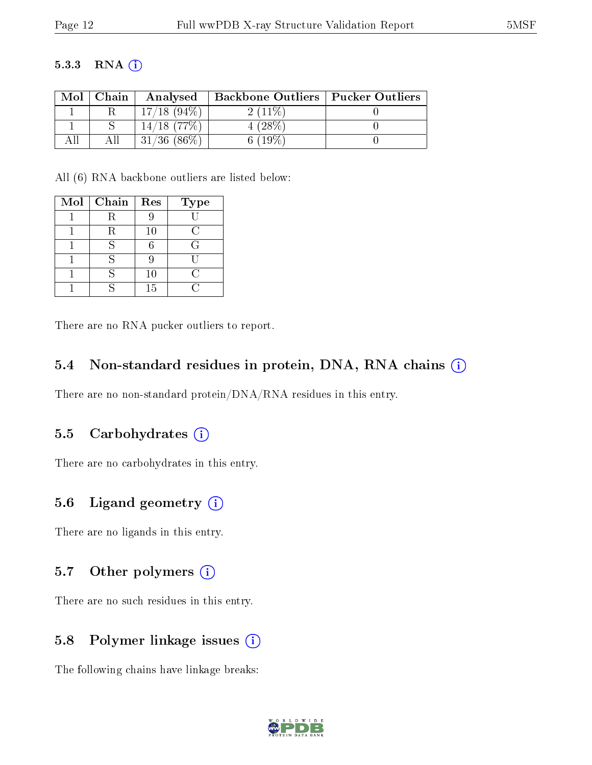#### 5.3.3 RNA [O](https://www.wwpdb.org/validation/2017/XrayValidationReportHelp#rna)i

| Mol | Chain | Analysed               | <b>Backbone Outliers   Pucker Outliers</b> |  |
|-----|-------|------------------------|--------------------------------------------|--|
|     |       | $17/18$ (94\%)         | $2(11\%)$                                  |  |
|     |       | $^{\circ}$ 14/18 (77%) | $(28\%$                                    |  |
|     |       | $(86\%)$<br>31/36      | $6(19\%)$                                  |  |

All (6) RNA backbone outliers are listed below:

| Mol | Chain | Res | <b>Type</b> |
|-----|-------|-----|-------------|
|     | R     |     |             |
|     | R     | 10  | $\epsilon$  |
|     |       |     | G           |
|     |       |     |             |
|     |       | 10  | $\cap$      |
|     |       | 15  |             |

There are no RNA pucker outliers to report.

#### 5.4 Non-standard residues in protein, DNA, RNA chains (i)

There are no non-standard protein/DNA/RNA residues in this entry.

#### 5.5 Carbohydrates  $(i)$

There are no carbohydrates in this entry.

### 5.6 Ligand geometry  $(i)$

There are no ligands in this entry.

#### 5.7 [O](https://www.wwpdb.org/validation/2017/XrayValidationReportHelp#nonstandard_residues_and_ligands)ther polymers  $(i)$

There are no such residues in this entry.

### 5.8 Polymer linkage issues  $(i)$

The following chains have linkage breaks:

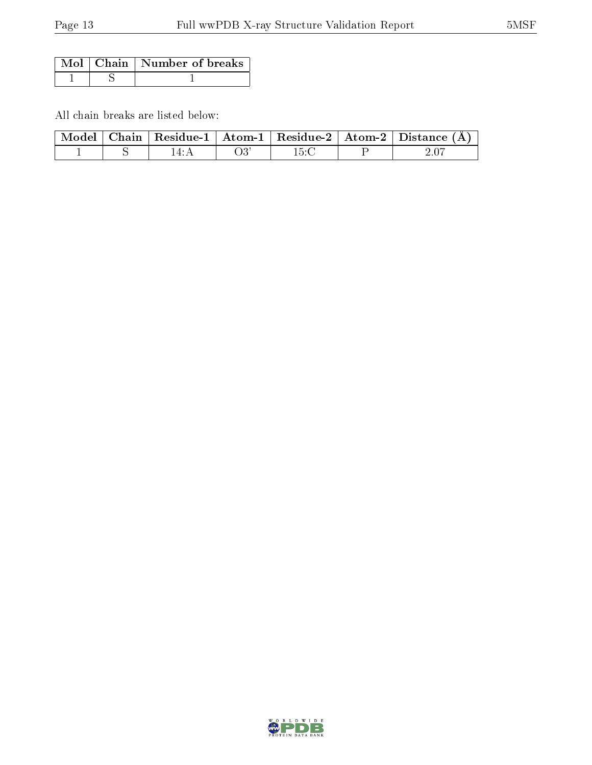|  | Mol $\vert$ Chain $\vert$ Number of breaks |
|--|--------------------------------------------|
|  |                                            |

All chain breaks are listed below:

|  |  |  | $\mid$ Model $\mid$ Chain $\mid$ Residue-1 $\mid$ Atom-1 $\mid$ Residue-2 $\mid$ Atom-2 $\mid$ Distance (Å) |
|--|--|--|-------------------------------------------------------------------------------------------------------------|
|  |  |  |                                                                                                             |

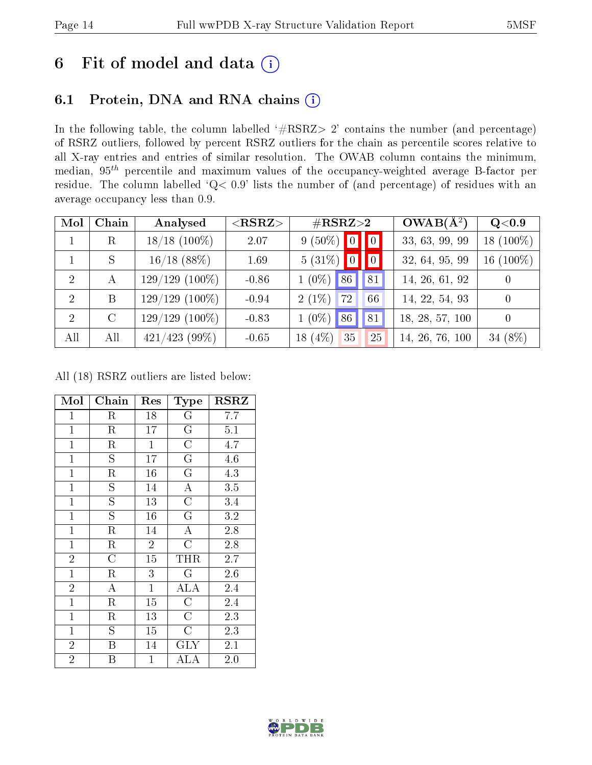### 6 Fit of model and data  $(i)$

### 6.1 Protein, DNA and RNA chains  $(i)$

In the following table, the column labelled  $#RSRZ> 2'$  contains the number (and percentage) of RSRZ outliers, followed by percent RSRZ outliers for the chain as percentile scores relative to all X-ray entries and entries of similar resolution. The OWAB column contains the minimum, median,  $95<sup>th</sup>$  percentile and maximum values of the occupancy-weighted average B-factor per residue. The column labelled ' $Q< 0.9$ ' lists the number of (and percentage) of residues with an average occupancy less than 0.9.

| Mol            | Chain        | Analysed         | $<$ RSRZ $>$ | $\#\text{RSRZ}{>}2$            | $OWAB(A^2)$     | Q< 0.9         |
|----------------|--------------|------------------|--------------|--------------------------------|-----------------|----------------|
|                | $\rm R$      | $18/18$ (100%)   | 2.07         | $9(50\%)$ 0<br>$\vert 0 \vert$ | 33, 63, 99, 99  | 18 $(100\%)$   |
|                | S            | $16/18$ (88%)    | 1.69         | $5(31\%)$ 0<br>$\vert 0 \vert$ | 32, 64, 95, 99  | 16 $(100\%)$   |
| $\overline{2}$ | $\mathbf{A}$ | $129/129(100\%)$ | $-0.86$      | $1(0\%)$<br>86<br> 81          | 14, 26, 61, 92  | $\overline{0}$ |
| $\overline{2}$ | B            | $129/129(100\%)$ | $-0.94$      | $2(1\%)$<br>72<br>66           | 14, 22, 54, 93  | $\overline{0}$ |
| 2              | $\rm C$      | $129/129(100\%)$ | $-0.83$      | $1(0\%)$<br>86<br> 81          | 18, 28, 57, 100 | $\overline{0}$ |
| All            | All          | $421/423$ (99\%) | $-0.65$      | 18 $(4\%)$<br>35<br>25         | 14, 26, 76, 100 | 34 (8%)        |

All (18) RSRZ outliers are listed below:

| Mol            | Chain                   | Res             | Type                    | <b>RSRZ</b> |
|----------------|-------------------------|-----------------|-------------------------|-------------|
| $\mathbf{1}$   | R                       | 18              | G                       | 7.7         |
| $\overline{1}$ | $\overline{\mathrm{R}}$ | 17              | $\overline{G}$          | 5.1         |
| $\mathbf{1}$   | $\rm R$                 | $\mathbf{1}$    | $\overline{C}$          | 4.7         |
| $\mathbf{1}$   | $\overline{S}$          | 17              | $\overline{\mathrm{G}}$ | 4.6         |
| $\mathbf{1}$   | $\rm R$                 | 16              | $\mathbf G$             | 4.3         |
| $\mathbf{1}$   | $\overline{S}$          | 14              | $\overline{\rm A}$      | 3.5         |
| $\mathbf{1}$   | $\overline{S}$          | 13              | $\overline{C}$          | 3.4         |
| $\mathbf{1}$   | $\overline{\mathrm{s}}$ | 16              | $\mathbf G$             | 3.2         |
| $\mathbf{1}$   | $\rm R$                 | 14              | $\overline{\rm A}$      | 2.8         |
| $\mathbf{1}$   | $\rm R$                 | $\overline{2}$  | $\overline{C}$          | $2.8\,$     |
| $\overline{2}$ | $\overline{\rm C}$      | $\overline{15}$ | THR                     | 2.7         |
| $\mathbf{1}$   | $\rm R$                 | 3               | $\mathbf G$             | 2.6         |
| $\overline{2}$ | $\bf{A}$                | $\mathbf{1}$    | ALA                     | 2.4         |
| $\mathbf{1}$   | $\rm R$                 | 15              | $\overline{\rm C}$      | 2.4         |
| $\mathbf{1}$   | R                       | 13              | $\overline{C}$          | $2.3\,$     |
| $\mathbf{1}$   | S.                      | 15              | C                       | 2.3         |
| $\overline{2}$ | B                       | 14              | $\rm GLY$               | 2.1         |
| $\overline{2}$ | Β                       | $\mathbf 1$     | ${\rm ALA}$             | 2.0         |